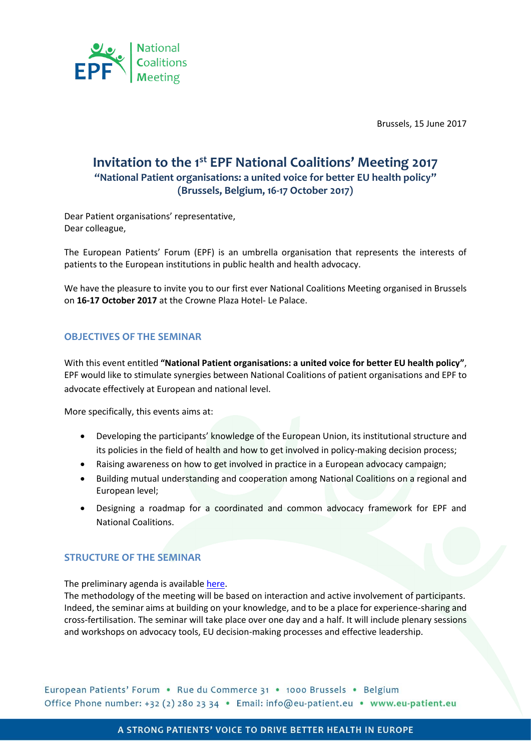

Brussels, 15 June 2017

## **Invitation to the 1 st EPF National Coalitions' Meeting 2017 "National Patient organisations: a united voice for better EU health policy" (Brussels, Belgium, 16-17 October 2017)**

Dear Patient organisations' representative, Dear colleague,

The European Patients' Forum (EPF) is an umbrella organisation that represents the interests of patients to the European institutions in public health and health advocacy.

We have the pleasure to invite you to our first ever National Coalitions Meeting organised in Brussels on **16-17 October 2017** at the Crowne Plaza Hotel- Le Palace.

## **OBJECTIVES OF THE SEMINAR**

With this event entitled **"National Patient organisations: a united voice for better EU health policy"**, EPF would like to stimulate synergies between National Coalitions of patient organisations and EPF to advocate effectively at European and national level.

More specifically, this events aims at:

- Developing the participants' knowledge of the European Union, its institutional structure and its policies in the field of health and how to get involved in policy-making decision process;
- Raising awareness on how to get involved in practice in a European advocacy campaign;
- Building mutual understanding and cooperation among National Coalitions on a regional and European level;
- Designing a roadmap for a coordinated and common advocacy framework for EPF and National Coalitions.

## **STRUCTURE OF THE SEMINAR**

The preliminary agenda is availabl[e here.](http://www.eu-patient.eu/globalassets/events/2017/national-coalitions-meeting/draft-agenda-national-coalitions-meeting.pdf) The methodology of the meeting will be based on interaction and active involvement of participants. Indeed, the seminar aims at building on your knowledge, and to be a place for experience-sharing and cross-fertilisation. The seminar will take place over one day and a half. It will include plenary sessions and workshops on advocacy tools, EU decision-making processes and effective leadership.

European Patients' Forum . Rue du Commerce 31 . 1000 Brussels . Belgium Office Phone number: +32 (2) 280 23 34 · Email: info@eu-patient.eu · www.eu-patient.eu